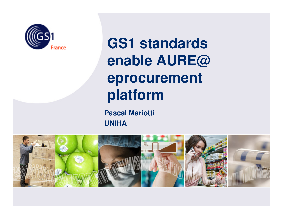

**GS1 standards enable AURE@ eprocurement platform** 

**Pascal MariottiUNIHA**

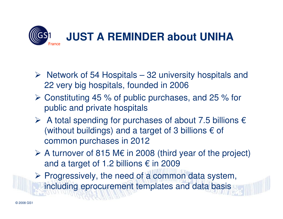

- $\triangleright$  Network of 54 Hospitals 32 university hospitals and  $\binom{22}{10}$ 22 very big hospitals, founded in 2006
- $\triangleright$  Constituting 45 % of public purchases, and 25 % for public and private beamitals public and private hospitals
- A total spending for purchases of about 7.5 billions  $\epsilon$ <br>(without buildings) and a terget of 3 billions 6 of (without buildings) and a target of 3 billions  $\epsilon$  of common purchases in 2012
- A turnover of 815 M $\epsilon$  in 2008 (third year of the project) and a target of 1.2 billions  $\epsilon$  in 2009

 $\triangleright$  Progressively, the need of a common data system, including eprocurement templates and data basis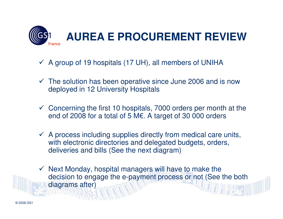

- A group of 19 hospitals (17 UH), all members of UNIHA
- The solution has been operative since June 2006 and is now<br>deployed in 12 University Hospitals deployed in 12 University Hospitals
- Concerning the first 10 hospitals, 7000 orders per month at the code of 2008 for a total of 5 ME, A target of 30,000 orders end of 2008 for a total of 5 M€. A target of 30 000 orders
- ← A process including supplies directly from medical care units,<br>with electronic directories and delegated budgets, orders with electronic directories and delegated budgets, orders, deliveries and bills (See the next diagram)
- ← Next Monday, hospital managers will have to make the decision to engage the e-payment process or not (See to decision to engage the e-payment process or not (See the both diagrams after)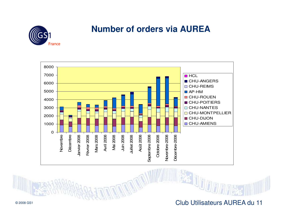

## **Number of orders via AUREA**





© 2008 GS1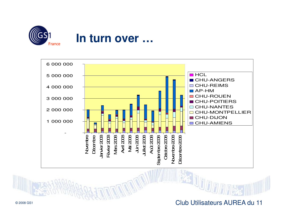

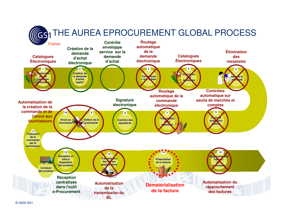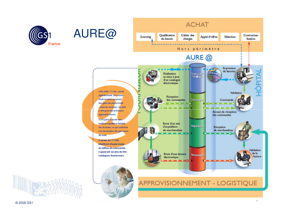



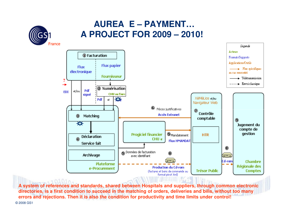

### **AUREA E – PAYMENT… A PROJECT FOR 2009 – 2010!**



© 2008 GS1**A system of references and standards, shared between Hospitals and suppliers, through common electronic directories, is a first condition to succeed in the matching of orders, deliveries and bills, without too many errors and rejections. Then it is also the condition for productivity and time limits under control!**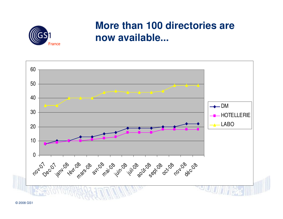

## **More than 100 directories are now available...**

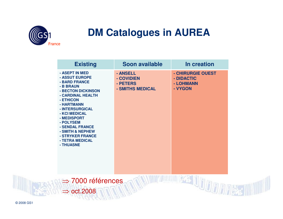

# **DM Catalogues in AUREA**

| <b>Existing</b>                                                                                                                                                                                                                                                                                 | Soon available                                         | In creation                                             |
|-------------------------------------------------------------------------------------------------------------------------------------------------------------------------------------------------------------------------------------------------------------------------------------------------|--------------------------------------------------------|---------------------------------------------------------|
| - ASEPT IN MED<br>- ASSUT EUROPE<br>- BARD FRANCE<br>- B BRAUN<br>- BECTON DICKINSON<br>- CARDINAL HEALTH<br>- ETHICON<br>- HARTMANN<br>- INTERSURGICAL<br>- KCI MEDICAL<br>- MEDISPORT<br>- POLYSEM<br>- SENDAL FRANCE<br>- SMITH & NEPHEW<br>- STRYKER FRANCE<br>- TETRA MEDICAL<br>- THUASNE | - ANSELL<br>- COVIDIEN<br>- PETERS<br>- SMITHS MEDICAL | - CHIRURGIE OUEST<br>- DIDACTIC<br>- LOHMANN<br>- VYGON |
| $\Rightarrow$ 7000 références<br>$\Rightarrow$ oct.2008                                                                                                                                                                                                                                         |                                                        |                                                         |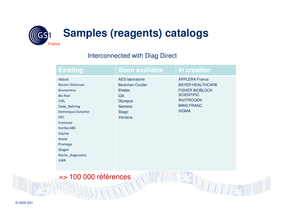

#### Interconnected with Diag Direct

| Existing                                                                                                                                                                                                                                             | Soon available                                                                                                                                        | In creation                                                                                                                                              |
|------------------------------------------------------------------------------------------------------------------------------------------------------------------------------------------------------------------------------------------------------|-------------------------------------------------------------------------------------------------------------------------------------------------------|----------------------------------------------------------------------------------------------------------------------------------------------------------|
| Abbott<br><b>Becton Dickinson</b><br><b>Biomerieux</b><br><b>Bio Rad</b><br><b>CML</b><br>Dade_Behring<br>Dominique Dutscher<br><b>DPC</b><br>Fumouze<br><b>Horiba ABX</b><br>Ozyme<br>Oxoid<br>Promega<br>Qiagen<br>Roche_diagnostics<br><b>VWR</b> | <b>AES</b> laboratoire<br><b>Beckman Coulter</b><br><b>Elvetec</b><br>I <sub>2</sub> A<br><b>Olympus</b><br><b>Siemens</b><br><b>Stago</b><br>Ventana | <b>APPLERA France</b><br><b>BAYER HEALTHCARE</b><br><b>FISHER BIOBLOCK</b><br><b>SCIENTIFIC</b><br><b>INVITROGEN</b><br><b>MWG FRANC</b><br><b>SIGMA</b> |

=> 100 000 références

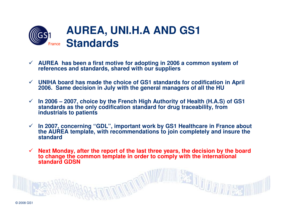

- **AUREA has been a first motive for adopting in 2006 a common system of references and standards, shared with our suppliers**
- **UNIHA board has made the choice of GS1 standards for codification in April 2006. Same decision in July with the general managers of all the HU**
- $\checkmark$  **In 2006 – 2007, choice by the French High Authority of Health (H.A.S) of GS1 standards as the only codification standard for drug traceability, from industrials to patients**
- $\sqrt{ }$  **In 2007, concerning "GDL", important work by GS1 Healthcare in France about the AUREA template, with recommendations to join completely and insure the standard**
- $\checkmark$  **Next Monday, after the report of the last three years, the decision by the board to change the common template in order to comply with the international standard GDSN**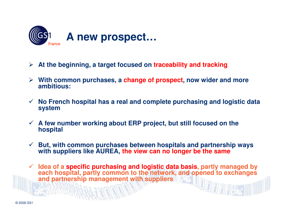

- **At the beginning, a target focused on traceability and tracking**
- **With common purchases, a change of prospect, now wider and more ambitious:**
- $\sqrt{ }$  **No French hospital has a real and complete purchasing and logistic data system**
- **A few number working about ERP project, but still focused on the hospital**
- $\checkmark$  **But, with common purchases between hospitals and partnership ways with suppliers like AUREA, the view can no longer be the same**
- $\checkmark$  **Idea of a specific purchasing and logistic data basis, partly managed by each hospital, partly common to the network, and opened to exchanges and partnership management with suppliers**